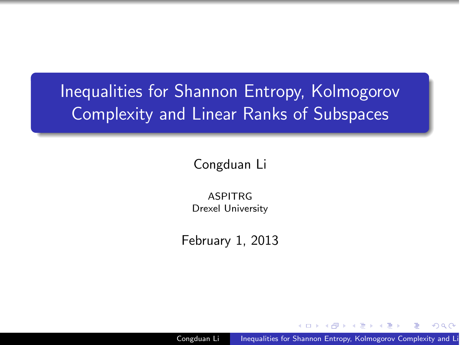# Inequalities for Shannon Entropy, Kolmogorov Complexity and Linear Ranks of Subspaces

Congduan Li

ASPITRG Drexel University

February 1, 2013

Congduan Li **Inequalities for Shannon Entropy, Kolmogorov Complexity and Li**near Ranks of Subspaces of Ranks Cong

<span id="page-0-0"></span>つへへ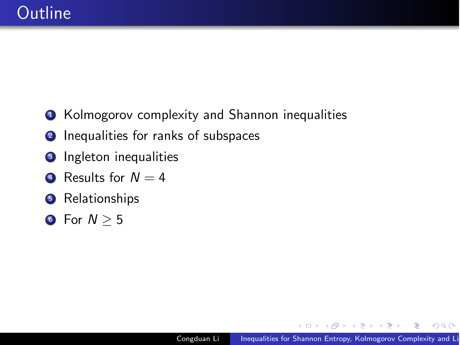- **1** Kolmogorov complexity and Shannon inequalities
- 2 Inequalities for ranks of subspaces
- **3** Ingleton inequalities
- $\bullet$  Results for  $N = 4$
- **5** Relationships
- **6** For  $N \geq 5$

何 ▶ ヨ ヨ ▶ ヨ ヨ ▶

 $QQ$ 

э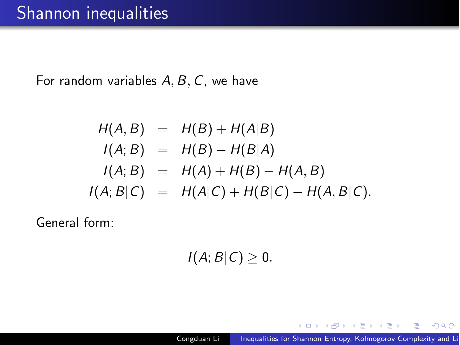# Shannon inequalities

For random variables A*,* B*,* C, we have

$$
H(A, B) = H(B) + H(A|B)
$$
  
\n
$$
I(A; B) = H(B) - H(B|A)
$$
  
\n
$$
I(A; B) = H(A) + H(B) - H(A, B)
$$
  
\n
$$
I(A; B|C) = H(A|C) + H(B|C) - H(A, B|C).
$$

General form:

 $I(A; B|C) \geq 0.$ 

何 ▶ イヨ ▶ イヨ ▶

 $299$ 

∍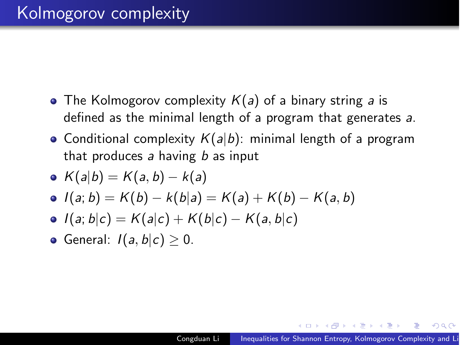- The Kolmogorov complexity  $K(a)$  of a binary string a is defined as the minimal length of a program that generates a.
- Conditional complexity  $K(a|b)$ : minimal length of a program that produces a having  $b$  as input
- $\bullet$  K(a|b) = K(a, b) k(a)
- $I(a; b) = K(b) k(b|a) = K(a) + K(b) K(a, b)$
- $I(a; b|c) = K(a|c) + K(b|c) K(a, b|c)$
- General:  $I(a, b|c) \geq 0$ .

メラ メモ メモ メモ ミ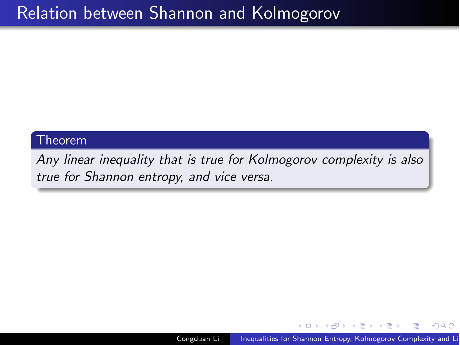#### Theorem

Any linear inequality that is true for Kolmogorov complexity is also true for Shannon entropy, and vice versa.

つくへ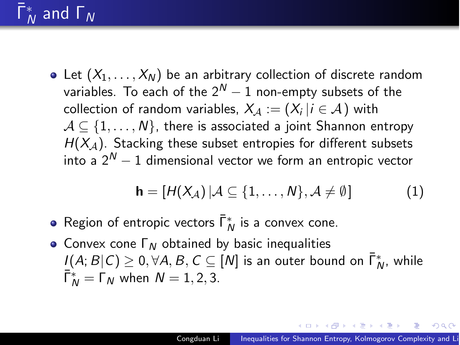# $\bar{\Gamma}_N^*$  and  $\Gamma_N$

• Let  $(X_1, \ldots, X_N)$  be an arbitrary collection of discrete random variables. To each of the  $2^N - 1$  non-empty subsets of the collection of random variables,  $X_A := (X_i | i \in A)$  with A ⊆ {1*,...,* N}, there is associated a joint Shannon entropy  $H(X_A)$ . Stacking these subset entropies for different subsets into a  $2^N - 1$  dimensional vector we form an entropic vector

$$
\mathbf{h} = [H(X_{\mathcal{A}}) | \mathcal{A} \subseteq \{1, \dots, N\}, \mathcal{A} \neq \emptyset]
$$
 (1)

- Region of entropic vectors  $\bar{\Gamma}_N^*$  is a convex cone.
- Convex cone Γ*<sup>N</sup>* obtained by basic inequalities  $I(A;B|C) \geq 0, \forall A, B, C \subseteq [N]$  is an outer bound on  $\bar{\Gamma}_N^*$ , while  $\overline{\Gamma}_N^* = \Gamma_N$  when  $N = 1, 2, 3$ .

モー イモン イモン イ伊ン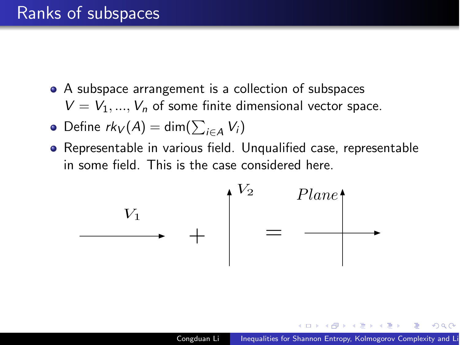- A subspace arrangement is a collection of subspaces  $V = V_1, ..., V_n$  of some finite dimensional vector space.
- Define  $rk_V(A) = \dim(\sum_{i \in A} V_i)$
- Representable in various field. Unqualified case, representable in some field. This is the case considered here.



つくへ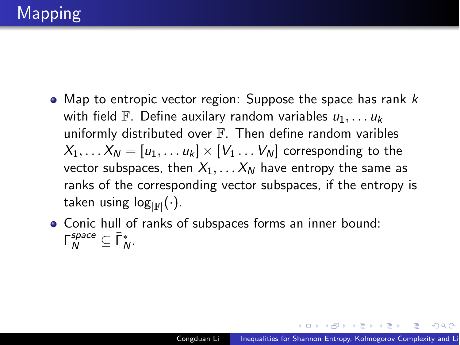- Map to entropic vector region: Suppose the space has rank  $k$ with field  $\mathbb{F}$ . Define auxilary random variables  $u_1, \ldots u_k$ uniformly distributed over  $\mathbb F$ . Then define random varibles  $X_1, \ldots, X_N = [u_1, \ldots, u_k] \times [V_1 \ldots V_N]$  corresponding to the vector subspaces, then  $X_1, \ldots, X_N$  have entropy the same as ranks of the corresponding vector subspaces, if the entropy is taken using  $log_{|\mathbb{F}|}(\cdot)$ .
- Conic hull of ranks of subspaces forms an inner bound:  $\Gamma_N^{space} \subseteq \overline{\Gamma}_N^*$ .

伊 ▶ ∢ ヨ ▶ ∢ ヨ ▶ │ ヨ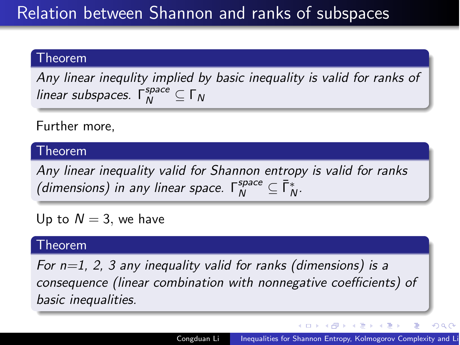### Theorem

Any linear inequlity implied by basic inequality is valid for ranks of linear subspaces. Γ*space <sup>N</sup>* ⊆ Γ*<sup>N</sup>*

Further more,

Theorem

Any linear inequality valid for Shannon entropy is valid for ranks  $(dimensions)$  in any linear space.  $\Gamma_N^{space} \subseteq \overline{\Gamma}_N^*$ .

Up to  $N = 3$ , we have

#### Theorem

For  $n=1$ , 2, 3 any inequality valid for ranks (dimensions) is a consequence (linear combination with nonnegative coefficients) of basic inequalities.

∢ ロ ▶ ( 何 ▶ ( 言 ▶ ( 言 ▶ )

 $QQ$ 

э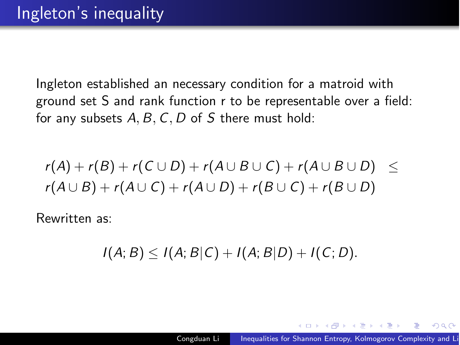Ingleton established an necessary condition for a matroid with ground set S and rank function r to be representable over a field: for any subsets A*,* B*,* C*,* D of S there must hold:

$$
r(A) + r(B) + r(C \cup D) + r(A \cup B \cup C) + r(A \cup B \cup D) \leq
$$
  

$$
r(A \cup B) + r(A \cup C) + r(A \cup D) + r(B \cup C) + r(B \cup D)
$$

Rewritten as:

$$
I(A; B) \leq I(A; B|C) + I(A; B|D) + I(C; D).
$$

a mara a mara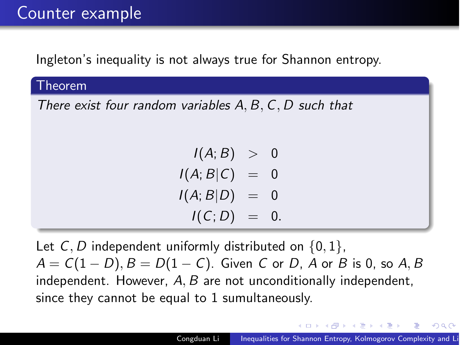Ingleton's inequality is not always true for Shannon entropy.

Theorem

There exist four random variables A*,* B*,* C*,* D such that

 $I(A; B) > 0$  $I(A;B|C) = 0$  $I(A;B|D) = 0$  $I(C; D) = 0.$ 

Let C*,* D independent uniformly distributed on {0*,* 1},  $A = C(1 - D), B = D(1 - C)$ . Given C or D, A or B is 0, so A, B independent. However, A*,* B are not unconditionally independent, since they cannot be equal to 1 sumultaneously.

- モーマモトマキュー (円)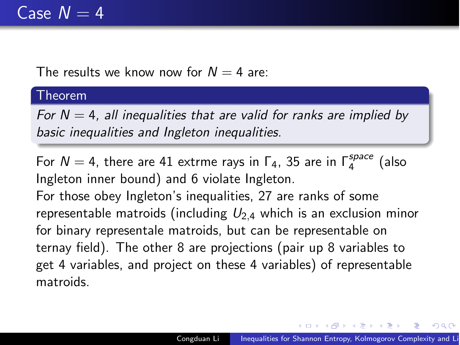The results we know now for  $N = 4$  are:

#### Theorem

For  $N = 4$ , all inequalities that are valid for ranks are implied by basic inequalities and Ingleton inequalities.

For  $N = 4$ , there are 41 extrme rays in  $\Gamma_4$ , 35 are in  $\Gamma_4^{space}$  (also Ingleton inner bound) and 6 violate Ingleton.

For those obey Ingleton's inequalities, 27 are ranks of some representable matroids (including  $U_{2,4}$  which is an exclusion minor for binary representale matroids, but can be representable on ternay field). The other 8 are projections (pair up 8 variables to get 4 variables, and project on these 4 variables) of representable matroids.

∢何 ▶ ∢ ヨ ▶ ∢ ヨ ▶ ...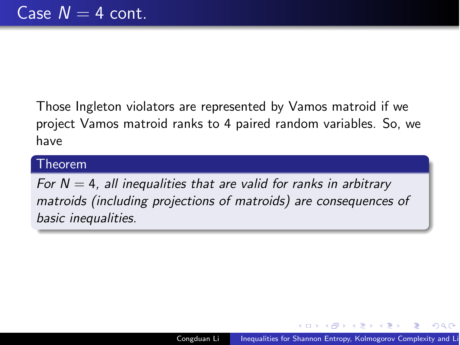Those Ingleton violators are represented by Vamos matroid if we project Vamos matroid ranks to 4 paired random variables. So, we have

#### Theorem

For  $N = 4$ , all inequalities that are valid for ranks in arbitrary matroids (including projections of matroids) are consequences of basic inequalities.

御 ▶ イヨ ▶ イヨ ▶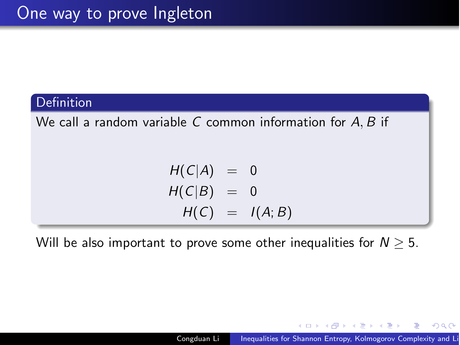### **Definition**

We call a random variable C common information for A*,* B if

$$
H(C|A) = 0
$$
  
\n
$$
H(C|B) = 0
$$
  
\n
$$
H(C) = I(A;B)
$$

Will be also important to prove some other inequalities for  $N > 5$ .

化重复化重复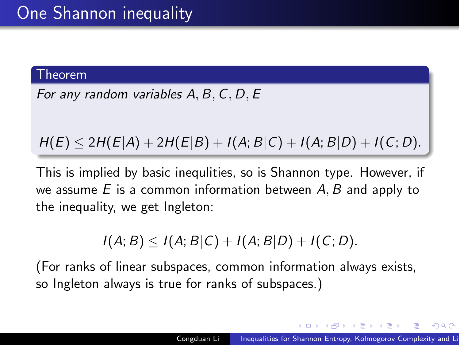#### Theorem

For any random variables A*,* B*,* C*,* D*,* E

$$
H(E) \leq 2H(E|A) + 2H(E|B) + I(A;B|C) + I(A;B|D) + I(C;D).
$$

This is implied by basic inequlities, so is Shannon type. However, if we assume E is a common information between A*,* B and apply to the inequality, we get Ingleton:

$$
I(A; B) \leq I(A; B|C) + I(A; B|D) + I(C; D).
$$

(For ranks of linear subspaces, common information always exists, so Ingleton always is true for ranks of subspaces.)

A & Y B & Y B &

つくへ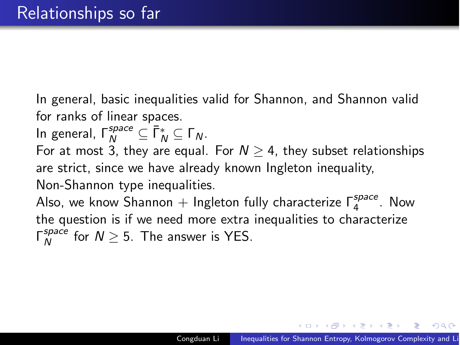In general, basic inequalities valid for Shannon, and Shannon valid for ranks of linear spaces.

 $In$  general,  $Γ_N^{space} ⊆ Į_N^* ⊆ Γ_N$ .

For at most 3, they are equal. For  $N > 4$ , they subset relationships are strict, since we have already known Ingleton inequality, Non-Shannon type inequalities.

Also, we know Shannon + Ingleton fully characterize Γ*space* <sup>4</sup> . Now the question is if we need more extra inequalities to characterize  $\Gamma_N^{space}$  for  $N \geq 5$ . The answer is YES.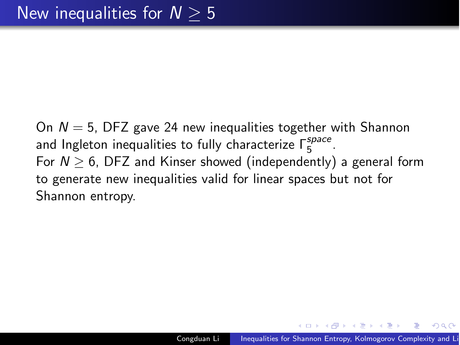On  $N = 5$ , DFZ gave 24 new inequalities together with Shannon and Ingleton inequalities to fully characterize Γ*space* <sup>5</sup> . For  $N > 6$ , DFZ and Kinser showed (independently) a general form to generate new inequalities valid for linear spaces but not for Shannon entropy.

<span id="page-16-0"></span>ねゃ マミャマミャ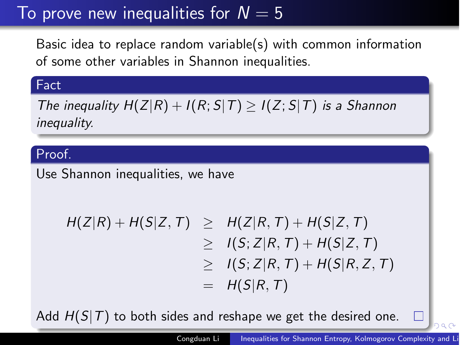# To prove new inequalities for  $N = 5$

Basic idea to replace random variable(s) with common information of some other variables in Shannon inequalities.

#### Fact

The inequality  $H(Z|R) + I(R;S|T) \geq I(Z;S|T)$  is a Shannon inequality.

### Proof.

Use Shannon inequalities, we have

<span id="page-17-0"></span>
$$
H(Z|R) + H(S|Z, T) \geq H(Z|R, T) + H(S|Z, T)
$$
  
\n
$$
\geq I(S; Z|R, T) + H(S|Z, T)
$$
  
\n
$$
\geq I(S; Z|R, T) + H(S|R, Z, T)
$$
  
\n
$$
= H(S|R, T)
$$

A[d](#page-26-0)d  $H(S|T)$  to both sides and reshape we g[et](#page-16-0) [th](#page-18-0)[e](#page-16-0) [de](#page-17-0)[s](#page-18-0)[ire](#page-0-0)d [on](#page-0-0)[e.](#page-26-0)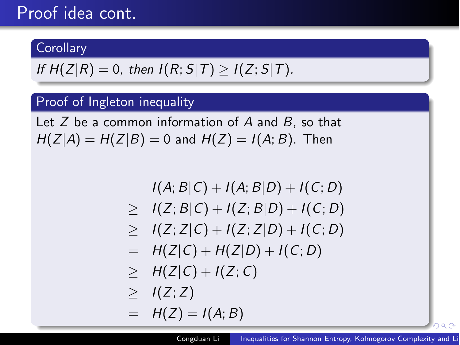# Proof idea cont.

### **Corollary**

If 
$$
H(Z|R) = 0
$$
, then  $I(R; S|T) \geq I(Z; S|T)$ .

### Proof of Ingleton inequality

Let  $Z$  be a common information of  $A$  and  $B$ , so that  $H(Z|A) = H(Z|B) = 0$  and  $H(Z) = I(A; B)$ . Then

<span id="page-18-0"></span>
$$
I(A; B|C) + I(A; B|D) + I(C; D)
$$
  
\n
$$
\geq I(Z; B|C) + I(Z; B|D) + I(C; D)
$$
  
\n
$$
\geq I(Z; Z|C) + I(Z; Z|D) + I(C; D)
$$
  
\n
$$
= H(Z|C) + H(Z|D) + I(C; D)
$$
  
\n
$$
\geq H(Z|C) + I(Z; C)
$$
  
\n
$$
\geq I(Z; Z)
$$
  
\n
$$
= H(Z) = I(A; B)
$$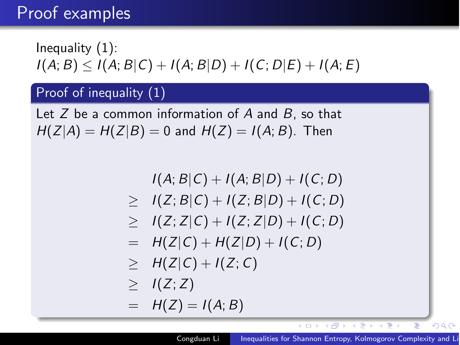# Proof examples

Inequality  $(1)$ :  $I(A; B) \leq I(A; B|C) + I(A; B|D) + I(C; D|E) + I(A; E)$ 

### Proof of inequality (1)

Let  $Z$  be a common information of  $A$  and  $B$ , so that  $H(Z|A) = H(Z|B) = 0$  and  $H(Z) = I(A;B)$ . Then

$$
I(A; B|C) + I(A; B|D) + I(C; D)
$$
  
\n
$$
\geq I(Z; B|C) + I(Z; B|D) + I(C; D)
$$
  
\n
$$
\geq I(Z; Z|C) + I(Z; Z|D) + I(C; D)
$$
  
\n
$$
= H(Z|C) + H(Z|D) + I(C; D)
$$
  
\n
$$
\geq H(Z|C) + I(Z; C)
$$
  
\n
$$
\geq I(Z; Z)
$$
  
\n
$$
= H(Z) = I(A; B)
$$

化重新润滑脂

Ξ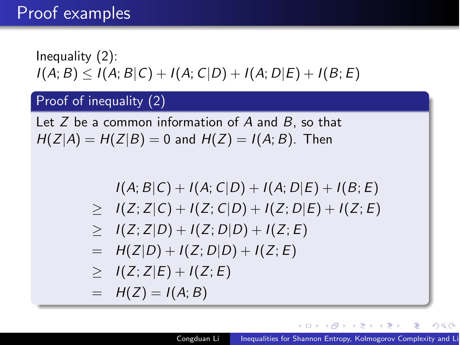# Proof examples

Inequality (2):  $I(A; B) \leq I(A; B|C) + I(A; C|D) + I(A; D|E) + I(B; E)$ 

### Proof of inequality (2)

Let  $Z$  be a common information of  $A$  and  $B$ , so that  $H(Z|A) = H(Z|B) = 0$  and  $H(Z) = I(A;B)$ . Then

$$
I(A; B|C) + I(A; C|D) + I(A; D|E) + I(B; E)
$$
  
\n
$$
\geq I(Z; Z|C) + I(Z; C|D) + I(Z; D|E) + I(Z; E)
$$
  
\n
$$
\geq I(Z; Z|D) + I(Z; D|D) + I(Z; E)
$$
  
\n
$$
= H(Z|D) + I(Z; D|D) + I(Z; E)
$$
  
\n
$$
\geq I(Z; Z|E) + I(Z; E)
$$
  
\n
$$
= H(Z) = I(A; B)
$$

つへへ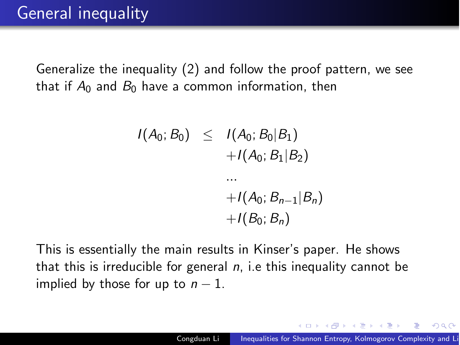Generalize the inequality (2) and follow the proof pattern, we see that if  $A_0$  and  $B_0$  have a common information, then

$$
I(A_0; B_0) \leq I(A_0; B_0|B_1) + I(A_0; B_1|B_2)
$$

*...*

$$
+I(A_0;B_{n-1}|B_n)+I(B_0;B_n)
$$

This is essentially the main results in Kinser's paper. He shows that this is irreducible for general  $n$ , i.e this inequality cannot be implied by those for up to  $n-1$ .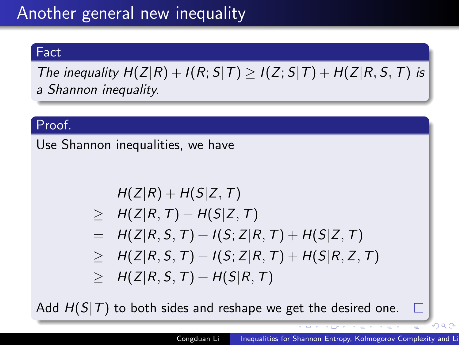# Another general new inequality

#### Fact

The inequality  $H(Z|R) + I(R; S|T) \geq I(Z; S|T) + H(Z|R, S, T)$  is a Shannon inequality.

#### Proof.

Use Shannon inequalities, we have

$$
H(Z|R)+H(S|Z,T)
$$

$$
\geq H(Z|R,T)+H(S|Z,T)
$$

= 
$$
H(Z|R, S, T) + I(S; Z|R, T) + H(S|Z, T)
$$

$$
\geq H(Z|R,S,T)+I(S;Z|R,T)+H(S|R,Z,T)
$$

$$
\geq H(Z|R,S,T)+H(S|R,T)
$$

Add  $H(S|T)$  to both sides and reshape we get the desired one.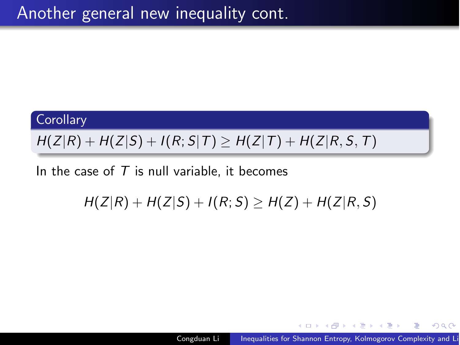### **Corollary**

# $H(Z|R) + H(Z|S) + I(R; S|T) \geq H(Z|T) + H(Z|R, S, T)$

## In the case of  $T$  is null variable, it becomes

# $H(Z|R) + H(Z|S) + I(R;S) > H(Z) + H(Z|R,S)$

AD ▶ ◀ ヨ ▶ ◀ ヨ ▶ │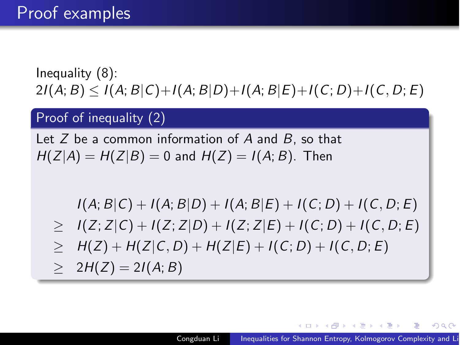Inequality (8):  $2I(A; B) \leq I(A; B|C) + I(A; B|D) + I(A; B|E) + I(C; D) + I(C, D; E)$ 

### Proof of inequality (2)

Let  $Z$  be a common information of  $A$  and  $B$ , so that  $H(Z|A) = H(Z|B) = 0$  and  $H(Z) = I(A;B)$ . Then

 $I(A; B|C) + I(A; B|D) + I(A; B|E) + I(C; D) + I(C, D; E)$  $\geq I(Z; Z|C) + I(Z; Z|D) + I(Z; Z|E) + I(C; D) + I(C, D; E)$  $\geq H(Z) + H(Z|C, D) + H(Z|E) + I(C; D) + I(C, D; E)$  $\geq 2H(Z)=2I(A; B)$ 

桐 いっち いっち いっ

性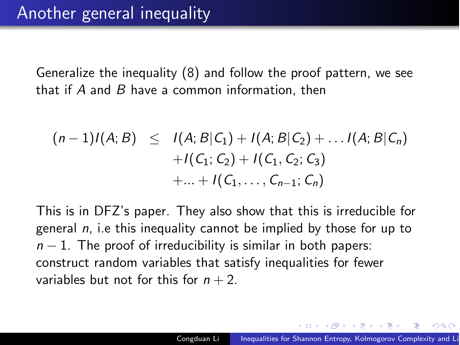Generalize the inequality (8) and follow the proof pattern, we see that if  $A$  and  $B$  have a common information, then

$$
(n-1)I(A; B) \leq I(A; B|C_1) + I(A; B|C_2) + \dots I(A; B|C_n)
$$
  
+
$$
I(C_1; C_2) + I(C_1, C_2; C_3)
$$
  
+
$$
\dots + I(C_1, \dots, C_{n-1}; C_n)
$$

This is in DFZ's paper. They also show that this is irreducible for general  $n$ , i.e this inequality cannot be implied by those for up to  $n-1$ . The proof of irreducibility is similar in both papers: construct random variables that satisfy inequalities for fewer variables but not for this for  $n + 2$ .

御 ▶ 4回 ▶ 4回 ▶ │